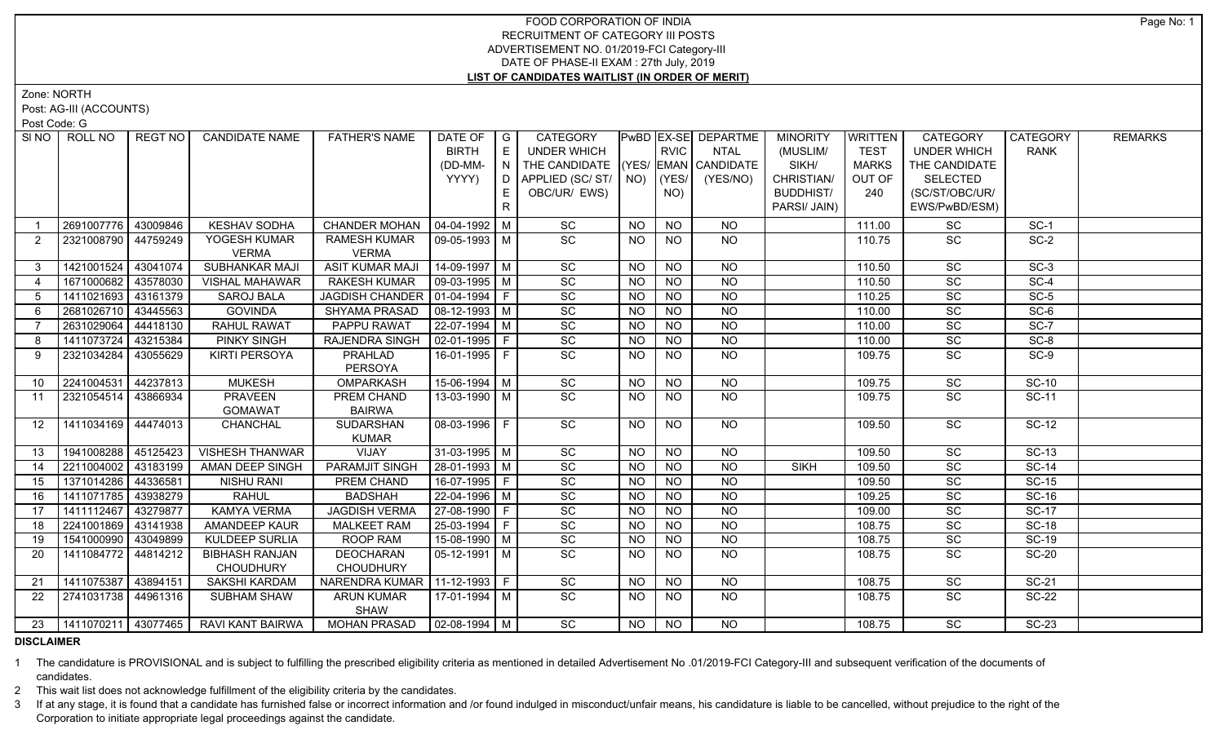Zone: NORTH

Post: AG-III (ACCOUNTS)

Post Code: G

| SINO           | ROLL NO             | REGT NO I | <b>CANDIDATE NAME</b>        | <b>FATHER'S NAME</b>                | DATE OF<br><b>BIRTH</b>      | $\overline{\phantom{a}}$ $\overline{\phantom{a}}$<br>E | CATEGORY<br><b>UNDER WHICH</b>     |           | <b>RVIC</b> | PwBD EX-SE DEPARTME<br>NTAL | <b>MINORITY</b><br>(MUSLIM/ | WRITTEN<br><b>TEST</b> | <b>CATEGORY</b><br><b>UNDER WHICH</b> | CATEGORY<br><b>RANK</b> | <b>REMARKS</b> |
|----------------|---------------------|-----------|------------------------------|-------------------------------------|------------------------------|--------------------------------------------------------|------------------------------------|-----------|-------------|-----------------------------|-----------------------------|------------------------|---------------------------------------|-------------------------|----------------|
|                |                     |           |                              |                                     | (DD-MM-                      | $\overline{N}$                                         | THE CANDIDATE (YES/ EMAN CANDIDATE |           |             |                             | SIKH/                       | <b>MARKS</b>           | THE CANDIDATE                         |                         |                |
|                |                     |           |                              |                                     | YYYY)                        |                                                        | D   APPLIED (SC/ ST/   NO)         |           | KYES/       | (YES/NO)                    | CHRISTIAN/                  | OUT OF                 | <b>SELECTED</b>                       |                         |                |
|                |                     |           |                              |                                     |                              | E                                                      | OBC/UR/ EWS)                       |           | NO)         |                             | <b>BUDDHIST/</b>            | 240                    | (SC/ST/OBC/UR/                        |                         |                |
|                |                     |           |                              |                                     |                              | R                                                      |                                    |           |             |                             | PARSI/ JAIN)                |                        | EWS/PwBD/ESM)                         |                         |                |
|                | 2691007776          | 43009846  | <b>KESHAV SODHA</b>          | CHANDER MOHAN                       | $ 04 - 04 - 1992 $ M         |                                                        | SC                                 | <b>NO</b> | <b>NO</b>   | NO.                         |                             | 111.00                 | SC                                    | $SC-1$                  |                |
| 2              | 2321008790          | 44759249  | YOGESH KUMAR<br><b>VERMA</b> | <b>RAMESH KUMAR</b><br><b>VERMA</b> | 09-05-1993   M               |                                                        | SC                                 | NO.       | <b>NO</b>   | NO                          |                             | 110.75                 | <b>SC</b>                             | $SC-2$                  |                |
| $3^{\circ}$    | 1421001524          | 43041074  | SUBHANKAR MAJI               | <b>ASIT KUMAR MAJI</b>              | $14-09-1997$ M               |                                                        | SC                                 | <b>NO</b> | <b>NO</b>   | <b>NO</b>                   |                             | 110.50                 | SC                                    | $SC-3$                  |                |
| $\overline{4}$ | 1671000682          | 43578030  | <b>VISHAL MAHAWAR</b>        | <b>RAKESH KUMAR</b>                 | 09-03-1995   M               |                                                        | SC                                 | <b>NO</b> | <b>NO</b>   | <b>NO</b>                   |                             | 110.50                 | SC                                    | $SC-4$                  |                |
| 5              | 1411021693          | 43161379  | <b>SAROJ BALA</b>            | JAGDISH CHANDER   01-04-1994   F    |                              |                                                        | SC                                 | <b>NO</b> | <b>NO</b>   | <b>NO</b>                   |                             | 110.25                 | SC                                    | $SC-5$                  |                |
| 6              | 2681026710          | 43445563  | <b>GOVINDA</b>               | SHYAMA PRASAD                       | $\vert$ 08-12-1993 $\vert$ M |                                                        | SC                                 | <b>NO</b> | <b>NO</b>   | <b>NO</b>                   |                             | 110.00                 | SC                                    | $SC-6$                  |                |
| 7              | 2631029064          | 44418130  | <b>RAHUL RAWAT</b>           | PAPPU RAWAT                         | 22-07-1994 M                 |                                                        | SC                                 | <b>NO</b> | <b>NO</b>   | <b>NO</b>                   |                             | 110.00                 | $\overline{SC}$                       | $SC-7$                  |                |
| -8             | 1411073724          | 43215384  | PINKY SINGH                  | RAJENDRA SINGH                      | 02-01-1995   F               |                                                        | SC                                 | <b>NO</b> | <b>NO</b>   | <b>NO</b>                   |                             | 110.00                 | SC                                    | SC-8                    |                |
| 9              | 2321034284          | 43055629  | <b>KIRTI PERSOYA</b>         | <b>PRAHLAD</b><br>PERSOYA           | 16-01-1995 F                 |                                                        | SC                                 | <b>NO</b> | <b>NO</b>   | NO                          |                             | 109.75                 | SC                                    | $SC-9$                  |                |
| 10             | 2241004531          | 44237813  | <b>MUKESH</b>                | OMPARKASH                           | $15-06-1994$ M               |                                                        | SC                                 | <b>NO</b> | <b>NO</b>   | <b>NO</b>                   |                             | 109.75                 | SC                                    | <b>SC-10</b>            |                |
| 11             | 2321054514          | 43866934  | <b>PRAVEEN</b>               | PREM CHAND                          | 13-03-1990   M               |                                                        | <b>SC</b>                          | <b>NO</b> | NO.         | NO.                         |                             | 109.75                 | <b>SC</b>                             | <b>SC-11</b>            |                |
|                |                     |           | <b>GOMAWAT</b>               | <b>BAIRWA</b>                       |                              |                                                        |                                    |           |             |                             |                             |                        |                                       |                         |                |
| 12             | 1411034169 44474013 |           | <b>CHANCHAL</b>              | <b>SUDARSHAN</b>                    | $08-03-1996$ F               |                                                        | $\overline{SC}$                    | <b>NO</b> | <b>NO</b>   | $N$ <sup>O</sup>            |                             | 109.50                 | $\overline{SC}$                       | $SC-12$                 |                |
|                |                     |           |                              | <b>KUMAR</b>                        |                              |                                                        |                                    |           |             |                             |                             |                        |                                       |                         |                |
| 13             | 1941008288          | 45125423  | <b>VISHESH THANWAR</b>       | VIJAY                               | $31-03-1995$ M               |                                                        | SC                                 | <b>NO</b> | <b>NO</b>   | <b>NO</b>                   |                             | 109.50                 | SC                                    | <b>SC-13</b>            |                |
| 14             | 2211004002          | 43183199  | AMAN DEEP SINGH              | PARAMJIT SINGH                      | 28-01-1993   M               |                                                        | SC                                 | <b>NO</b> | <b>NO</b>   | <b>NO</b>                   | <b>SIKH</b>                 | 109.50                 | SC                                    | $SC-14$                 |                |
| 15             | 1371014286          | 44336581  | NISHU RANI                   | PREM CHAND                          | 16-07-1995 F                 |                                                        | $\overline{SC}$                    | <b>NO</b> | <b>NO</b>   | <b>NO</b>                   |                             | 109.50                 | SC                                    | $SC-15$                 |                |
| 16             | 1411071785          | 43938279  | <b>RAHUL</b>                 | <b>BADSHAH</b>                      | 22-04-1996 M                 |                                                        | SC                                 | <b>NO</b> | <b>NO</b>   | <b>NO</b>                   |                             | 109.25                 | $\overline{SC}$                       | <b>SC-16</b>            |                |
| 17             | 1411112467          | 43279877  | <b>KAMYA VERMA</b>           | <b>JAGDISH VERMA</b>                | $27-08-1990$ F               |                                                        | $\overline{SC}$                    | <b>NO</b> | <b>NO</b>   | $N$ O                       |                             | 109.00                 | SC                                    | <b>SC-17</b>            |                |
| 18             | 2241001869 43141938 |           | AMANDEEP KAUR                | <b>MALKEET RAM</b>                  | $25-03-1994$ F               |                                                        | $\overline{SC}$                    | <b>NO</b> | <b>NO</b>   | <b>NO</b>                   |                             | 108.75                 | $\overline{SC}$                       | $SC-18$                 |                |
| 19             | 1541000990          | 43049899  | <b>KULDEEP SURLIA</b>        | <b>ROOP RAM</b>                     | $15-08-1990$ M               |                                                        | $\overline{SC}$                    | <b>NO</b> | $N$ O       | $N$ O                       |                             | 108.75                 | $\overline{SC}$                       | $SC-19$                 |                |
| 20             | 1411084772          | 44814212  | <b>BIBHASH RANJAN</b>        | <b>DEOCHARAN</b>                    | $05 - 12 - 1991$ M           |                                                        | SC                                 | <b>NO</b> | <b>NO</b>   | NO                          |                             | 108.75                 | SC                                    | <b>SC-20</b>            |                |
|                |                     |           | <b>CHOUDHURY</b>             | <b>CHOUDHURY</b>                    |                              |                                                        |                                    |           |             |                             |                             |                        |                                       |                         |                |
| 21             | 1411075387          | 43894151  | <b>SAKSHI KARDAM</b>         | NARENDRA KUMAR   11-12-1993   F     |                              |                                                        | SC                                 | <b>NO</b> | <b>NO</b>   | <b>NO</b>                   |                             | 108.75                 | SC                                    | <b>SC-21</b>            |                |
| 22             | 2741031738 44961316 |           | SUBHAM SHAW                  | ARUN KUMAR<br>SHAW                  | 17-01-1994   M               |                                                        | SC                                 | <b>NO</b> | <b>NO</b>   | NO.                         |                             | 108.75                 | SC                                    | <b>SC-22</b>            |                |
| 23             | 1411070211 43077465 |           | RAVI KANT BAIRWA             | MOHAN PRASAD   02-08-1994   M       |                              |                                                        | SC                                 | NO.       | <b>NO</b>   | <b>NO</b>                   |                             | 108.75                 | <b>SC</b>                             | SC-23                   |                |

#### **DISCLAIMER**

1 The candidature is PROVISIONAL and is subject to fulfilling the prescribed eligibility criteria as mentioned in detailed Advertisement No .01/2019-FCI Category-III and subsequent verification of the documents of candidates.

2 This wait list does not acknowledge fulfillment of the eligibility criteria by the candidates.

3 If at any stage, it is found that a candidate has furnished false or incorrect information and /or found indulged in misconduct/unfair means, his candidature is liable to be cancelled, without prejudice to the right of t Corporation to initiate appropriate legal proceedings against the candidate.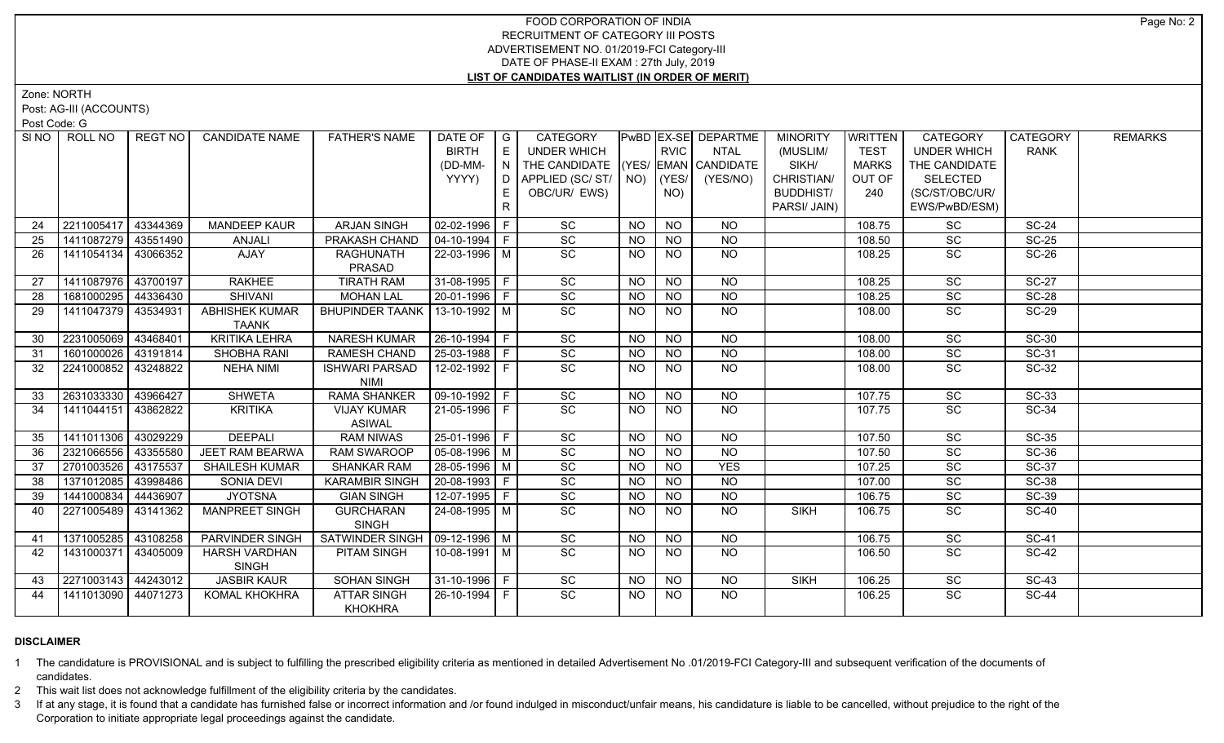Zone: NORTH

Post: AG-III (ACCOUNTS)

Post Code: G

|    | SINO ROLL NO          | REGT NO  | <b>CANDIDATE NAME</b>                 | <b>FATHER'S NAME</b>                 | DATE OF $ G $<br><b>BIRTH</b><br>(DD-MM- | E<br>N | CATEGORY<br><b>UNDER WHICH</b><br>THE CANDIDATE (YES/ EMAN CANDIDATE |           | <b>RVIC</b>     | <b>PwBD EX-SE DEPARTME</b><br><b>NTAL</b> | <b>MINORITY</b><br>(MUSLIM/<br>SIKH/ | <b>WRITTEN</b><br><b>TEST</b><br><b>MARKS</b> | CATEGORY<br><b>UNDER WHICH</b><br>THE CANDIDATE | <b>CATEGORY</b><br><b>RANK</b> | <b>REMARKS</b> |
|----|-----------------------|----------|---------------------------------------|--------------------------------------|------------------------------------------|--------|----------------------------------------------------------------------|-----------|-----------------|-------------------------------------------|--------------------------------------|-----------------------------------------------|-------------------------------------------------|--------------------------------|----------------|
|    |                       |          |                                       |                                      | YYYY)                                    | D      | APPLIED (SC/ST/                                                      | NO)       | (YES/           | (YES/NO)                                  | CHRISTIAN/                           | OUT OF                                        | <b>SELECTED</b>                                 |                                |                |
|    |                       |          |                                       |                                      |                                          |        | OBC/UR/ EWS)                                                         |           | NO)             |                                           | <b>BUDDHIST/</b>                     | 240                                           | (SC/ST/OBC/UR/                                  |                                |                |
|    |                       |          |                                       |                                      |                                          | R.     |                                                                      |           |                 |                                           | PARSI/ JAIN)                         |                                               | EWS/PwBD/ESM)                                   |                                |                |
|    |                       |          |                                       |                                      |                                          |        |                                                                      |           |                 |                                           |                                      |                                               |                                                 |                                |                |
| 24 | 2211005417            | 43344369 | <b>MANDEEP KAUR</b>                   | <b>ARJAN SINGH</b>                   | $02-02-1996$   F                         |        | SC                                                                   | NO.       | <b>NO</b>       | NO.                                       |                                      | 108.75                                        | SC                                              | <b>SC-24</b>                   |                |
| 25 | 1411087279            | 43551490 | ANJALI                                | PRAKASH CHAND                        | $04 - 10 - 1994$ F                       |        | SC                                                                   | <b>NO</b> | NO              | N <sub>O</sub>                            |                                      | 108.50                                        | SC                                              | $SC-25$                        |                |
| 26 | 1411054134 43066352   |          | AJAY                                  | <b>RAGHUNATH</b><br>PRASAD           | 22-03-1996 M                             |        | $\overline{SC}$                                                      | NO.       | N <sub>O</sub>  | <b>NO</b>                                 |                                      | 108.25                                        | SC                                              | $SC-26$                        |                |
| 27 | 1411087976 43700197   |          | <b>RAKHEE</b>                         | <b>TIRATH RAM</b>                    | 31-08-1995   F                           |        | SC                                                                   | <b>NO</b> | <b>NO</b>       | <b>NO</b>                                 |                                      | 108.25                                        | SC                                              | <b>SC-27</b>                   |                |
| 28 | 1681000295 44336430   |          | <b>SHIVANI</b>                        | <b>MOHAN LAL</b>                     | 20-01-1996 F                             |        | SC                                                                   | <b>NO</b> | <b>NO</b>       | <b>NO</b>                                 |                                      | 108.25                                        | SC                                              | <b>SC-28</b>                   |                |
| 29 | 1411047379            | 43534931 | <b>ABHISHEK KUMAR</b><br><b>TAANK</b> | BHUPINDER TAANK   13-10-1992   M     |                                          |        | SC                                                                   | <b>NO</b> | <b>NO</b>       | <b>NO</b>                                 |                                      | 108.00                                        | <b>SC</b>                                       | <b>SC-29</b>                   |                |
| 30 | 2231005069 43468401   |          | <b>KRITIKA LEHRA</b>                  | <b>NARESH KUMAR</b>                  | $26 - 10 - 1994$ F                       |        | $\overline{SC}$                                                      | <b>NO</b> | $\overline{NQ}$ | $\overline{NQ}$                           |                                      | 108.00                                        | $\overline{SC}$                                 | $SC-30$                        |                |
| 31 | 1601000026            | 43191814 | SHOBHA RANI                           | RAMESH CHAND                         | 25-03-1988 F                             |        | SC                                                                   | NO.       | <b>NO</b>       | <b>NO</b>                                 |                                      | 108.00                                        | SC                                              | SC-31                          |                |
| 32 | 2241000852            | 43248822 | <b>NEHA NIMI</b>                      | <b>ISHWARI PARSAD</b><br><b>NIMI</b> | 12-02-1992   F                           |        | SC                                                                   | NO.       | <b>NO</b>       | <b>NO</b>                                 |                                      | 108.00                                        | SC                                              | SC-32                          |                |
| 33 | 2631033330            | 43966427 | <b>SHWETA</b>                         | <b>RAMA SHANKER</b>                  | $\boxed{09 - 10 - 1992}$ F               |        | $\overline{SC}$                                                      | <b>NO</b> | <b>NO</b>       | $\overline{NO}$                           |                                      | 107.75                                        | <b>SC</b>                                       | $SC-33$                        |                |
| 34 | 1411044151            | 43862822 | <b>KRITIKA</b>                        | <b>VIJAY KUMAR</b><br><b>ASIWAL</b>  | $21-05-1996$ F                           |        | $\overline{SC}$                                                      | NO.       | <b>NO</b>       | N <sub>O</sub>                            |                                      | 107.75                                        | SC                                              | $SC-34$                        |                |
| 35 | 1411011306            | 43029229 | <b>DEEPALI</b>                        | <b>RAM NIWAS</b>                     | 25-01-1996 F                             |        | SC                                                                   | <b>NO</b> | <b>NO</b>       | <b>NO</b>                                 |                                      | 107.50                                        | $\overline{SC}$                                 | $SC-35$                        |                |
| 36 | 2321066556            | 43355580 | <b>JEET RAM BEARWA</b>                | <b>RAM SWAROOP</b>                   | $05-08-1996$ M                           |        | SC                                                                   | <b>NO</b> | $N$ O           | $N$ O                                     |                                      | 107.50                                        | $\overline{SC}$                                 | $SC-36$                        |                |
| 37 | 2701003526            | 43175537 | <b>SHAILESH KUMAR</b>                 | <b>SHANKAR RAM</b>                   | 28-05-1996 M                             |        | $\overline{SC}$                                                      | <b>NO</b> | $N$ O           | <b>YES</b>                                |                                      | 107.25                                        | SC                                              | <b>SC-37</b>                   |                |
| 38 | 1371012085            | 43998486 | SONIA DEVI                            | <b>KARAMBIR SINGH</b>                | $20-08-1993$ F                           |        | SC                                                                   | <b>NO</b> | $N$ O           | N <sub>O</sub>                            |                                      | 107.00                                        | $\overline{SC}$                                 | $SC-38$                        |                |
| 39 | 1441000834            | 44436907 | <b>JYOTSNA</b>                        | <b>GIAN SINGH</b>                    | 12-07-1995   F                           |        | SC                                                                   | <b>NO</b> | <b>NO</b>       | <b>NO</b>                                 |                                      | 106.75                                        | SC                                              | $SC-39$                        |                |
| 40 | 2271005489            | 43141362 | <b>MANPREET SINGH</b>                 | <b>GURCHARAN</b><br><b>SINGH</b>     | 24-08-1995 M                             |        | $\overline{SC}$                                                      | <b>NO</b> | $N$ O           | N <sub>O</sub>                            | <b>SIKH</b>                          | 106.75                                        | $\overline{SC}$                                 | <b>SC-40</b>                   |                |
| 41 | 1371005285            | 43108258 | PARVINDER SINGH                       | SATWINDER SINGH   09-12-1996   M     |                                          |        | SC                                                                   | <b>NO</b> | <b>NO</b>       | <b>NO</b>                                 |                                      | 106.75                                        | SC                                              | <b>SC-41</b>                   |                |
| 42 | 1431000371            | 43405009 | <b>HARSH VARDHAN</b><br><b>SINGH</b>  | PITAM SINGH                          | 10-08-1991   M                           |        | SC                                                                   | NO.       | <b>NO</b>       | NO                                        |                                      | 106.50                                        | SC                                              | <b>SC-42</b>                   |                |
| 43 | 2271003143   44243012 |          | <b>JASBIR KAUR</b>                    | <b>SOHAN SINGH</b>                   | 31-10-1996 F                             |        | SC                                                                   | NO.       | <b>NO</b>       | <b>NO</b>                                 | <b>SIKH</b>                          | 106.25                                        | SC                                              | <b>SC-43</b>                   |                |
| 44 | 1411013090   44071273 |          | <b>KOMAL KHOKHRA</b>                  | <b>ATTAR SINGH</b><br><b>KHOKHRA</b> | 26-10-1994   F                           |        | SC                                                                   | <b>NO</b> | <b>NO</b>       | <b>NO</b>                                 |                                      | 106.25                                        | SC                                              | <b>SC-44</b>                   |                |

# **DISCLAIMER**

1 The candidature is PROVISIONAL and is subject to fulfilling the prescribed eligibility criteria as mentioned in detailed Advertisement No .01/2019-FCI Category-III and subsequent verification of the documents of candidates.

2 This wait list does not acknowledge fulfillment of the eligibility criteria by the candidates.

3 If at any stage, it is found that a candidate has furnished false or incorrect information and /or found indulged in misconduct/unfair means, his candidature is liable to be cancelled, without prejudice to the right of t Corporation to initiate appropriate legal proceedings against the candidate.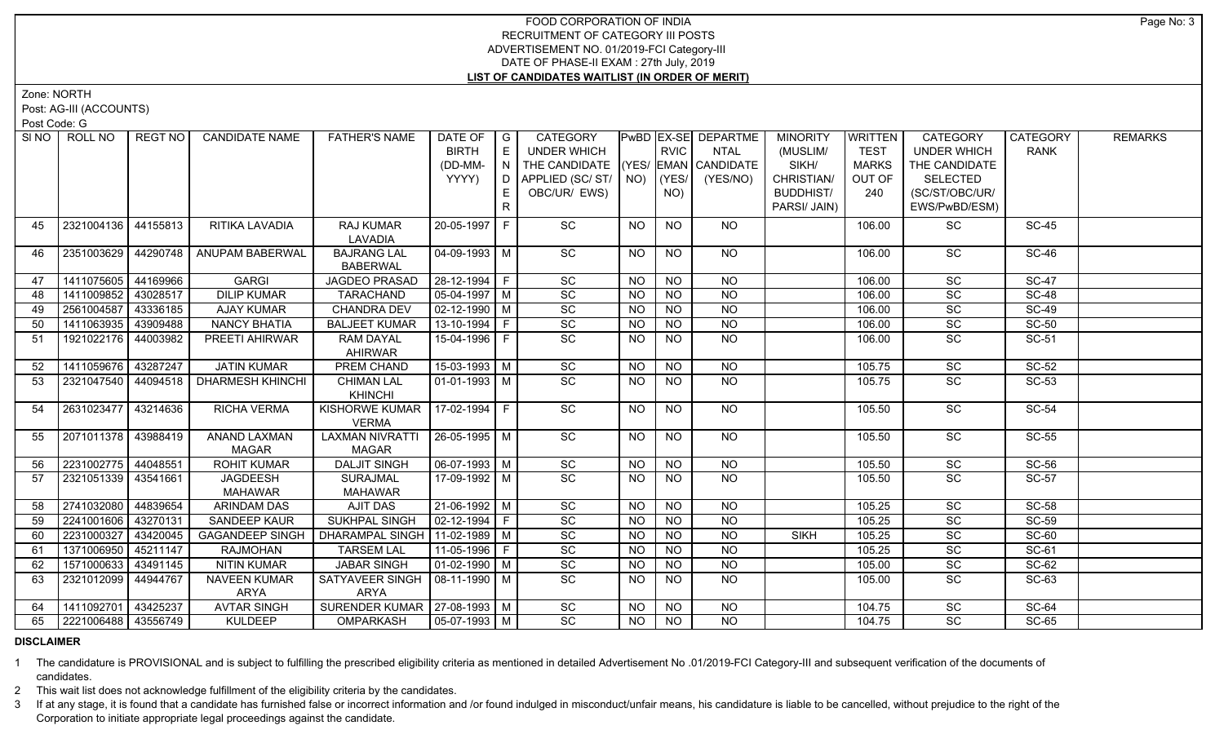Zone: NORTH

Post: AG-III (ACCOUNTS)

Post Code: G

| SI NO | ROLL NO               | REGT NO  | <b>CANDIDATE NAME</b>                    | <b>FATHER'S NAME</b>                     | DATE OF<br><b>BIRTH</b><br>(DD-MM-<br>YYYY) | $\overline{\phantom{a}}$ $\overline{\phantom{a}}$<br>E<br>$\overline{N}$<br>l D. | <b>CATEGORY</b><br><b>UNDER WHICH</b><br>THE CANDIDATE (YES/ EMAN CANDIDATE<br>APPLIED (SC/ ST/   NO) |                 | <b>RVIC</b><br>KYES/ | PwBD EX-SE DEPARTME<br><b>NTAL</b><br>(YES/NO) | <b>MINORITY</b><br>(MUSLIM/<br>SIKH/<br>CHRISTIAN/ | WRITTEN<br><b>TEST</b><br><b>MARKS</b><br>OUT OF | <b>CATEGORY</b><br><b>UNDER WHICH</b><br>THE CANDIDATE<br><b>SELECTED</b> | CATEGORY<br><b>RANK</b> | <b>REMARKS</b> |
|-------|-----------------------|----------|------------------------------------------|------------------------------------------|---------------------------------------------|----------------------------------------------------------------------------------|-------------------------------------------------------------------------------------------------------|-----------------|----------------------|------------------------------------------------|----------------------------------------------------|--------------------------------------------------|---------------------------------------------------------------------------|-------------------------|----------------|
|       |                       |          |                                          |                                          |                                             | E<br>R                                                                           | OBC/UR/ EWS)                                                                                          |                 | NO)                  |                                                | <b>BUDDHIST/</b><br>PARSI/ JAIN)                   | 240                                              | (SC/ST/OBC/UR/<br>EWS/PwBD/ESM)                                           |                         |                |
| 45    | 2321004136 44155813   |          | RITIKA LAVADIA                           | RAJ KUMAR<br>LAVADIA                     | 20-05-1997 F                                |                                                                                  | SC                                                                                                    | <b>NO</b>       | <b>NO</b>            | NO                                             |                                                    | 106.00                                           | SC                                                                        | <b>SC-45</b>            |                |
| 46.   | 2351003629 44290748   |          | ANUPAM BABERWAL                          | <b>BAJRANG LAL</b><br><b>BABERWAL</b>    | 04-09-1993   M                              |                                                                                  | SC                                                                                                    | <b>NO</b>       | <b>NO</b>            | NO                                             |                                                    | 106.00                                           | SC                                                                        | <b>SC-46</b>            |                |
| 47    | 1411075605 44169966   |          | <b>GARGI</b>                             | <b>JAGDEO PRASAD</b>                     | $28 - 12 - 1994$ F                          |                                                                                  | $\overline{SC}$                                                                                       | <b>NO</b>       | $\overline{NO}$      | NO                                             |                                                    | 106.00                                           | $\overline{SC}$                                                           | $SC-47$                 |                |
| 48    | 1411009852            | 43028517 | <b>DILIP KUMAR</b>                       | <b>TARACHAND</b>                         | 05-04-1997   M                              |                                                                                  | SC                                                                                                    | <b>NO</b>       | $\overline{NO}$      | $\overline{NQ}$                                |                                                    | 106.00                                           | SC                                                                        | $SC-48$                 |                |
| 49    | 2561004587            | 43336185 | <b>AJAY KUMAR</b>                        | <b>CHANDRA DEV</b>                       | $\boxed{02 - 12 - 1990}$ M                  |                                                                                  | SC                                                                                                    | <b>NO</b>       | <b>NO</b>            | $\overline{NO}$                                |                                                    | 106.00                                           | SC                                                                        | $SC-49$                 |                |
| 50    | 1411063935 43909488   |          | <b>NANCY BHATIA</b>                      | <b>BALJEET KUMAR</b>                     | $13-10-1994$ F                              |                                                                                  | SC                                                                                                    | <b>NO</b>       | N <sub>O</sub>       | <b>NO</b>                                      |                                                    | 106.00                                           | SC                                                                        | $SC-50$                 |                |
| 51    | 1921022176 44003982   |          | PREETI AHIRWAR                           | RAM DAYAL<br><b>AHIRWAR</b>              | 15-04-1996 F                                |                                                                                  | SC                                                                                                    | <b>NO</b>       | <b>NO</b>            | <b>NO</b>                                      |                                                    | 106.00                                           | SC                                                                        | SC-51                   |                |
| 52    | 1411059676            | 43287247 | <b>JATIN KUMAR</b>                       | PREM CHAND                               | 15-03-1993 M                                |                                                                                  | $\overline{SC}$                                                                                       | <b>NO</b>       | N <sub>O</sub>       | <b>NO</b>                                      |                                                    | 105.75                                           | $\overline{SC}$                                                           | $SC-52$                 |                |
| 53    |                       |          | 2321047540   44094518   DHARMESH KHINCHI | <b>CHIMAN LAL</b><br>KHINCHI             | $\boxed{01-01-1993}$ M                      |                                                                                  | $\overline{SC}$                                                                                       | <b>NO</b>       | $\overline{NO}$      | $N$ <sup>O</sup>                               |                                                    | 105.75                                           | $\overline{SC}$                                                           | $SC-53$                 |                |
| 54    | 2631023477            | 43214636 | <b>RICHA VERMA</b>                       | <b>KISHORWE KUMAR</b><br><b>VERMA</b>    | $17-02-1994$ F                              |                                                                                  | <b>SC</b>                                                                                             | NO.             | NO.                  | NO                                             |                                                    | 105.50                                           | <b>SC</b>                                                                 | <b>SC-54</b>            |                |
| 55    | 2071011378 43988419   |          | <b>ANAND LAXMAN</b><br><b>MAGAR</b>      | <b>LAXMAN NIVRATTI</b><br><b>MAGAR</b>   | $ 26-05-1995 $ M                            |                                                                                  | SC                                                                                                    | <b>NO</b>       | $N$ O                | $N$ <sup>O</sup>                               |                                                    | 105.50                                           | $\overline{SC}$                                                           | <b>SC-55</b>            |                |
| 56    | 2231002775 44048551   |          | <b>ROHIT KUMAR</b>                       | <b>DALJIT SINGH</b>                      | $\boxed{06-07-1993}$ M                      |                                                                                  | SC                                                                                                    | <b>NO</b>       | N <sub>O</sub>       | N <sub>O</sub>                                 |                                                    | 105.50                                           | SC                                                                        | $SC-56$                 |                |
| 57    | 2321051339   43541661 |          | JAGDEESH<br><b>MAHAWAR</b>               | <b>SURAJMAL</b><br><b>MAHAWAR</b>        | 17-09-1992 M                                |                                                                                  | SC                                                                                                    | <b>NO</b>       | <b>NO</b>            | NO                                             |                                                    | 105.50                                           | SC                                                                        | <b>SC-57</b>            |                |
| 58    | 2741032080            | 44839654 | <b>ARINDAM DAS</b>                       | AJIT DAS                                 | 21-06-1992 M                                |                                                                                  | $\overline{SC}$                                                                                       | <b>NO</b>       | $\overline{NO}$      | <b>NO</b>                                      |                                                    | 105.25                                           | $\overline{SC}$                                                           | <b>SC-58</b>            |                |
| 59    | 2241001606            | 43270131 | <b>SANDEEP KAUR</b>                      | <b>SUKHPAL SINGH</b>                     | $\vert 02 - 12 - 1994 \vert$ F              |                                                                                  | $\overline{SC}$                                                                                       | <b>NO</b>       | <b>NO</b>            | <b>NO</b>                                      |                                                    | 105.25                                           | $\overline{SC}$                                                           | $SC-59$                 |                |
| 60    | 2231000327            | 43420045 | <b>GAGANDEEP SINGH</b>                   | DHARAMPAL SINGH   11-02-1989   M         |                                             |                                                                                  | SC                                                                                                    | <b>NO</b>       | $\overline{NO}$      | $\overline{NQ}$                                | <b>SIKH</b>                                        | 105.25                                           | SC                                                                        | $SC-60$                 |                |
| 61    | 1371006950            | 45211147 | RAJMOHAN                                 | <b>TARSEM LAL</b>                        | $11-05-1996$ F                              |                                                                                  | SC                                                                                                    | <b>NO</b>       | <b>NO</b>            | $\overline{NQ}$                                |                                                    | 105.25                                           | SC                                                                        | $SC-61$                 |                |
| 62    | 1571000633            | 43491145 | <b>NITIN KUMAR</b>                       | <b>JABAR SINGH</b>                       | 01-02-1990   M                              |                                                                                  | $\overline{SC}$                                                                                       | <b>NO</b>       | <b>NO</b>            | <b>NO</b>                                      |                                                    | 105.00                                           | $\overline{SC}$                                                           | $SC-62$                 |                |
| 63    | 2321012099            | 44944767 | <b>NAVEEN KUMAR</b><br>ARYA              | SATYAVEER SINGH   08-11-1990   M<br>ARYA |                                             |                                                                                  | $\overline{SC}$                                                                                       | <b>NO</b>       | $\overline{NO}$      | $\overline{NO}$                                |                                                    | 105.00                                           | $\overline{SC}$                                                           | SC-63                   |                |
| 64    | 1411092701            | 43425237 | <b>AVTAR SINGH</b>                       | SURENDER KUMAR   27-08-1993   M          |                                             |                                                                                  | $\overline{SC}$                                                                                       | <b>NO</b>       | <b>NO</b>            | NO                                             |                                                    | 104.75                                           | SC                                                                        | $SC-64$                 |                |
| 65    | 2221006488 43556749   |          | <b>KULDEEP</b>                           | OMPARKASH                                | $\vert$ 05-07-1993 $\vert$ M                |                                                                                  | $\overline{SC}$                                                                                       | $\overline{NO}$ | $\overline{NO}$      | $\overline{NO}$                                |                                                    | 104.75                                           | $\overline{SC}$                                                           | $SC-65$                 |                |

# **DISCLAIMER**

1 The candidature is PROVISIONAL and is subject to fulfilling the prescribed eligibility criteria as mentioned in detailed Advertisement No .01/2019-FCI Category-III and subsequent verification of the documents of candidates.

2 This wait list does not acknowledge fulfillment of the eligibility criteria by the candidates.

3 If at any stage, it is found that a candidate has furnished false or incorrect information and /or found indulged in misconduct/unfair means, his candidature is liable to be cancelled, without prejudice to the right of t Corporation to initiate appropriate legal proceedings against the candidate.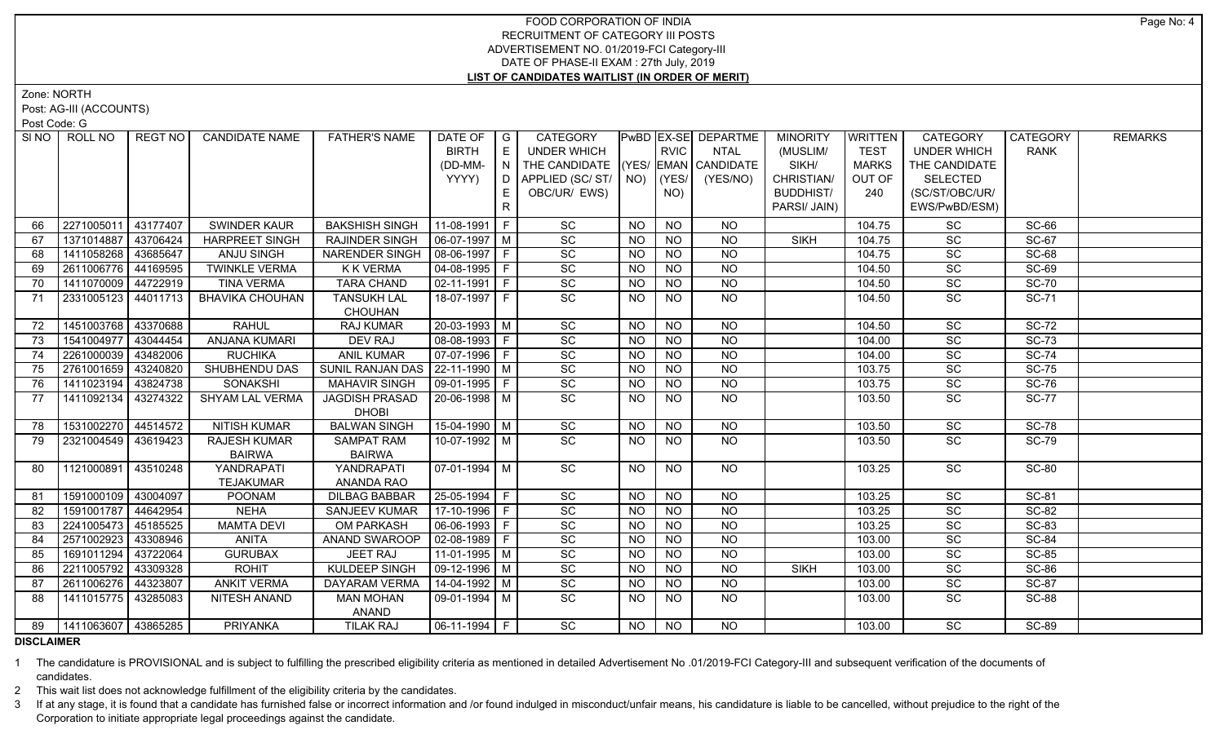Zone: NORTH

Post: AG-III (ACCOUNTS)

Post Code: G

| SI NO I | ROLL NO                    | REGT NO I | <b>CANDIDATE NAME</b>  | <b>FATHER'S NAME</b>  | DATE OF            | $\overline{\phantom{a}}$ $\overline{\phantom{a}}$ | <b>CATEGORY</b>                |           |                | PwBD EX-SE DEPARTME | <b>MINORITY</b>  | <b>WRITTEN</b> | <b>CATEGORY</b>    | <b>CATEGORY</b> | <b>REMARKS</b> |
|---------|----------------------------|-----------|------------------------|-----------------------|--------------------|---------------------------------------------------|--------------------------------|-----------|----------------|---------------------|------------------|----------------|--------------------|-----------------|----------------|
|         |                            |           |                        |                       | <b>BIRTH</b>       | E                                                 | <b>UNDER WHICH</b>             |           | <b>RVIC</b>    | <b>NTAL</b>         | (MUSLIM/         | TEST           | <b>UNDER WHICH</b> | <b>RANK</b>     |                |
|         |                            |           |                        |                       | (DD-MM-            | N                                                 | THE CANDIDATE (YES/            |           |                | EMAN CANDIDATE      | SIKH/            | <b>MARKS</b>   | THE CANDIDATE      |                 |                |
|         |                            |           |                        |                       | YYYY)              | D                                                 | APPLIED (SC/ ST/   NO)   (YES/ |           |                | (YES/NO)            | CHRISTIAN/       | OUT OF         | <b>SELECTED</b>    |                 |                |
|         |                            |           |                        |                       |                    | E.                                                | OBC/UR/ EWS)                   |           | NO)            |                     | <b>BUDDHIST/</b> | 240            | (SC/ST/OBC/UR/     |                 |                |
|         |                            |           |                        |                       |                    | $\mathsf{R}$                                      |                                |           |                |                     | PARSI/ JAIN)     |                | EWS/PwBD/ESM)      |                 |                |
| 66      | 2271005011                 | 43177407  | <b>SWINDER KAUR</b>    | <b>BAKSHISH SINGH</b> | 11-08-1991 F       |                                                   | SC                             | <b>NO</b> | <b>NO</b>      | <b>NO</b>           |                  | 104.75         | SC                 | SC-66           |                |
| 67      | 1371014887                 | 43706424  | <b>HARPREET SINGH</b>  | RAJINDER SINGH        | $06-07-1997$ M     |                                                   | SC                             | <b>NO</b> | <b>NO</b>      | <b>NO</b>           | <b>SIKH</b>      | 104.75         | SC                 | <b>SC-67</b>    |                |
| 68      | 1411058268                 | 43685647  | <b>ANJU SINGH</b>      | NARENDER SINGH        | 08-06-1997 F       |                                                   | SC                             | <b>NO</b> | <b>NO</b>      | $N$ O               |                  | 104.75         | SC                 | <b>SC-68</b>    |                |
| 69      | 2611006776                 | 44169595  | <b>TWINKLE VERMA</b>   | <b>K K VERMA</b>      | $04-08-1995$ F     |                                                   | SC                             | <b>NO</b> | NO             | $N$ O               |                  | 104.50         | SC                 | <b>SC-69</b>    |                |
| 70      | 1411070009                 | 44722919  | <b>TINA VERMA</b>      | <b>TARA CHAND</b>     | $02-11-1991$ F     |                                                   | SC                             | <b>NO</b> | N <sub>O</sub> | NO                  |                  | 104.50         | SC                 | <b>SC-70</b>    |                |
| 71      | 2331005123 44011713        |           | <b>BHAVIKA CHOUHAN</b> | <b>TANSUKH LAL</b>    | 18-07-1997 F       |                                                   | SC                             | NO.       | NO.            | $N$ O               |                  | 104.50         | SC                 | <b>SC-71</b>    |                |
|         |                            |           |                        | <b>CHOUHAN</b>        |                    |                                                   |                                |           |                |                     |                  |                |                    |                 |                |
| 72      | 1451003768 43370688        |           | <b>RAHUL</b>           | RAJ KUMAR             | $20 - 03 - 1993$ M |                                                   | SC                             | <b>NO</b> | <b>NO</b>      | <b>NO</b>           |                  | 104.50         | SC                 | <b>SC-72</b>    |                |
| 73      | 1541004977                 | 43044454  | ANJANA KUMARI          | DEV RAJ               | 08-08-1993   F     |                                                   | SC                             | <b>NO</b> | <b>NO</b>      | <b>NO</b>           |                  | 104.00         | SC                 | <b>SC-73</b>    |                |
| 74      | 2261000039                 | 43482006  | <b>RUCHIKA</b>         | <b>ANIL KUMAR</b>     | 07-07-1996 F       |                                                   | SC                             | <b>NO</b> | <b>NO</b>      | <b>NO</b>           |                  | 104.00         | SC                 | <b>SC-74</b>    |                |
| 75      | 2761001659                 | 43240820  | SHUBHENDU DAS          | SUNIL RANJAN DAS      | 22-11-1990 M       |                                                   | SC                             | <b>NO</b> | <b>NO</b>      | <b>NO</b>           |                  | 103.75         | $\overline{SC}$    | <b>SC-75</b>    |                |
| 76      | 1411023194                 | 43824738  | <b>SONAKSHI</b>        | <b>MAHAVIR SINGH</b>  | 09-01-1995   F     |                                                   | SC                             | <b>NO</b> | <b>NO</b>      | <b>NO</b>           |                  | 103.75         | SC                 | <b>SC-76</b>    |                |
| 77      | 1411092134                 | 43274322  | SHYAM LAL VERMA        | <b>JAGDISH PRASAD</b> | 20-06-1998 M       |                                                   | SC                             | <b>NO</b> | <b>NO</b>      | <b>NO</b>           |                  | 103.50         | SC                 | <b>SC-77</b>    |                |
|         |                            |           |                        | <b>DHOBI</b>          |                    |                                                   |                                |           |                |                     |                  |                |                    |                 |                |
| 78      | 1531002270 44514572        |           | <b>NITISH KUMAR</b>    | <b>BALWAN SINGH</b>   | 15-04-1990 M       |                                                   | SC                             | <b>NO</b> | $\overline{N}$ | $\overline{NQ}$     |                  | 103.50         | $\overline{SC}$    | <b>SC-78</b>    |                |
| 79      | 2321004549 43619423        |           | <b>RAJESH KUMAR</b>    | <b>SAMPAT RAM</b>     | 10-07-1992 M       |                                                   | $\overline{SC}$                | <b>NO</b> | <b>NO</b>      | $\overline{NQ}$     |                  | 103.50         | SC                 | <b>SC-79</b>    |                |
|         |                            |           | <b>BAIRWA</b>          | <b>BAIRWA</b>         |                    |                                                   |                                |           |                |                     |                  |                |                    |                 |                |
| 80      | 1121000891                 | 43510248  | YANDRAPATI             | YANDRAPATI            | $07-01-1994$ M     |                                                   | $\overline{SC}$                | NO.       | <b>NO</b>      | NO                  |                  | 103.25         | $\overline{SC}$    | <b>SC-80</b>    |                |
|         |                            |           | <b>TEJAKUMAR</b>       | ANANDA RAO            |                    |                                                   |                                |           |                |                     |                  |                |                    |                 |                |
| 81      | 1591000109                 | 43004097  | <b>POONAM</b>          | <b>DILBAG BABBAR</b>  | 25-05-1994 F       |                                                   | $\overline{SC}$                | <b>NO</b> | <b>NO</b>      | <b>NO</b>           |                  | 103.25         | SC                 | SC-81           |                |
| 82      | 1591001787                 | 44642954  | <b>NEHA</b>            | <b>SANJEEV KUMAR</b>  | 17-10-1996 F       |                                                   | $\overline{SC}$                | <b>NO</b> | <b>NO</b>      | N <sub>O</sub>      |                  | 103.25         | $\overline{SC}$    | $SC-82$         |                |
| 83      | 2241005473                 | 45185525  | <b>MAMTA DEVI</b>      | <b>OM PARKASH</b>     | 06-06-1993 F       |                                                   | $\overline{SC}$                | <b>NO</b> | <b>NO</b>      | $N$ O               |                  | 103.25         | $\overline{SC}$    | SC-83           |                |
| 84      | 2571002923                 | 43308946  | <b>ANITA</b>           | ANAND SWAROOP         | $02-08-1989$ F     |                                                   | $\overline{SC}$                | <b>NO</b> | N <sub>O</sub> | $N$ O               |                  | 103.00         | $\overline{SC}$    | $SC-84$         |                |
| 85      | 1691011294                 | 43722064  | <b>GURUBAX</b>         | <b>JEET RAJ</b>       | 11-01-1995   M     |                                                   | $\overline{SC}$                | <b>NO</b> | $N$ O          | $N$ O               |                  | 103.00         | $\overline{SC}$    | $SC-85$         |                |
| 86      | 2211005792                 | 43309328  | <b>ROHIT</b>           | <b>KULDEEP SINGH</b>  | 09-12-1996 M       |                                                   | SC                             | <b>NO</b> | <b>NO</b>      | <b>NO</b>           | <b>SIKH</b>      | 103.00         | SC                 | <b>SC-86</b>    |                |
| 87      | 2611006276                 | 44323807  | <b>ANKIT VERMA</b>     | <b>DAYARAM VERMA</b>  | $14-04-1992$ M     |                                                   | $\overline{SC}$                | <b>NO</b> | N <sub>O</sub> | $N$ O               |                  | 103.00         | $\overline{SC}$    | <b>SC-87</b>    |                |
| 88      | 1411015775                 | 43285083  | NITESH ANAND           | <b>MAN MOHAN</b>      | $09-01-1994$ M     |                                                   | $\overline{SC}$                | NO.       | <b>NO</b>      | N <sub>O</sub>      |                  | 103.00         | SC                 | <b>SC-88</b>    |                |
|         |                            |           |                        | ANAND                 |                    |                                                   |                                |           |                |                     |                  |                |                    |                 |                |
|         | 89   1411063607   43865285 |           | <b>PRIYANKA</b>        | <b>TILAK RAJ</b>      | $ 06-11-1994 F$    |                                                   | SC                             | NO.       | <b>NO</b>      | NO.                 |                  | 103.00         | <b>SC</b>          | <b>SC-89</b>    |                |

**DISCLAIMER**

1 The candidature is PROVISIONAL and is subject to fulfilling the prescribed eligibility criteria as mentioned in detailed Advertisement No .01/2019-FCI Category-III and subsequent verification of the documents of candidates.

2 This wait list does not acknowledge fulfillment of the eligibility criteria by the candidates.

3 If at any stage, it is found that a candidate has furnished false or incorrect information and /or found indulged in misconduct/unfair means, his candidature is liable to be cancelled, without prejudice to the right of t Corporation to initiate appropriate legal proceedings against the candidate.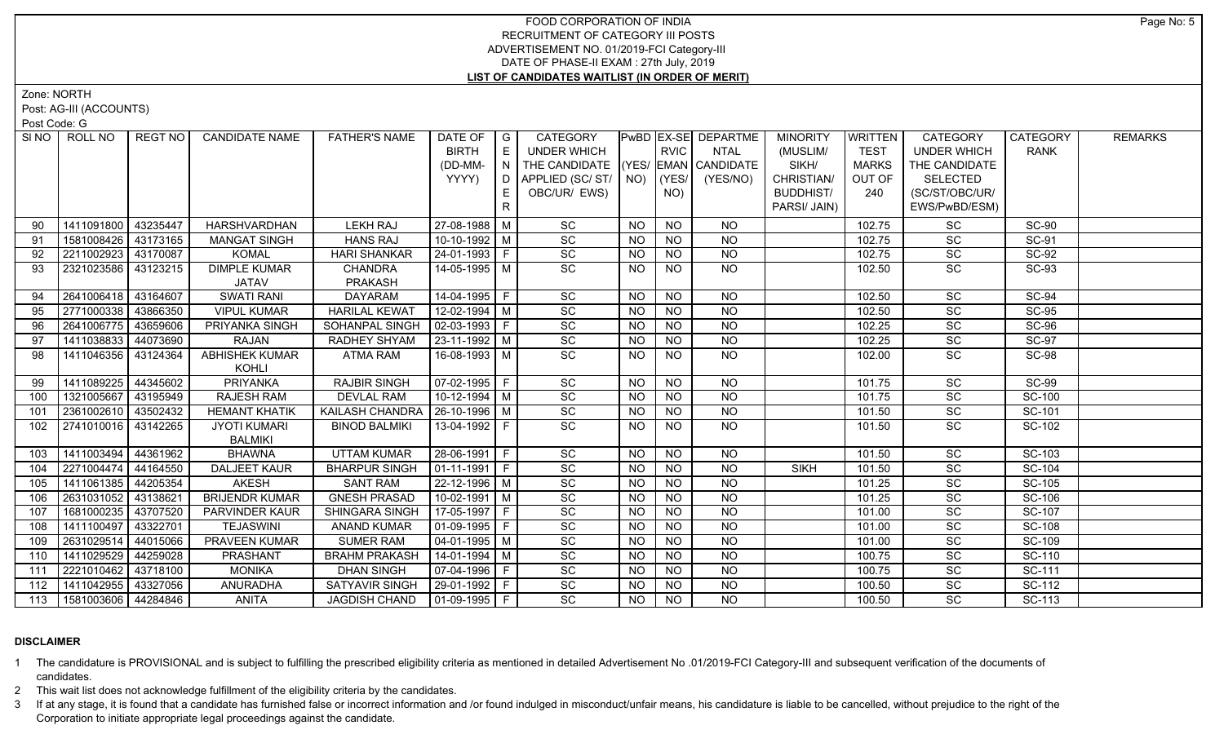Zone: NORTH

Post: AG-III (ACCOUNTS)

Post Code: G

| SI NO | ROLL NO               | REGT NO  | <b>CANDIDATE NAME</b> | <b>FATHER'S NAME</b>             | DATE OF   G            |   | CATEGORY                           |           |                | PwBD EX-SE DEPARTME | <b>MINORITY</b>  | <b>WRITTEN</b> | <b>CATEGORY</b>    | CATEGORY     | <b>REMARKS</b> |
|-------|-----------------------|----------|-----------------------|----------------------------------|------------------------|---|------------------------------------|-----------|----------------|---------------------|------------------|----------------|--------------------|--------------|----------------|
|       |                       |          |                       |                                  | <b>BIRTH</b>           | E | <b>UNDER WHICH</b>                 |           | <b>RVIC</b>    | <b>NTAL</b>         | (MUSLIM/         | <b>TEST</b>    | <b>UNDER WHICH</b> | <b>RANK</b>  |                |
|       |                       |          |                       |                                  | (DD-MM-                |   | THE CANDIDATE (YES/ EMAN CANDIDATE |           |                |                     | SIKH/            | <b>MARKS</b>   | THE CANDIDATE      |              |                |
|       |                       |          |                       |                                  | YYYY)                  | D | APPLIED (SC/ ST/   NO)             |           | (YES/          | (YES/NO)            | CHRISTIAN/       | OUT OF         | <b>SELECTED</b>    |              |                |
|       |                       |          |                       |                                  |                        | Е | OBC/UR/ EWS)                       |           | NO)            |                     | <b>BUDDHIST/</b> | 240            | (SC/ST/OBC/UR/     |              |                |
|       |                       |          |                       |                                  |                        | R |                                    |           |                |                     | PARSI/ JAIN)     |                | EWS/PwBD/ESM)      |              |                |
|       | 1411091800 43235447   |          | HARSHVARDHAN          | <b>LEKH RAJ</b>                  | 27-08-1988 M           |   | SC                                 | <b>NO</b> | <b>NO</b>      | NO.                 |                  | 102.75         | SC                 | <b>SC-90</b> |                |
| 91    | 1581008426 43173165   |          | <b>MANGAT SINGH</b>   | <b>HANS RAJ</b>                  | $10-10-1992$ M         |   | SC                                 | <b>NO</b> | <b>NO</b>      | <b>NO</b>           |                  | 102.75         | SC                 | <b>SC-91</b> |                |
| 92    | 2211002923 43170087   |          | <b>KOMAL</b>          | <b>HARI SHANKAR</b>              | 24-01-1993 F           |   | SC                                 | <b>NO</b> | <b>NO</b>      | NO                  |                  | 102.75         | SC                 | <b>SC-92</b> |                |
| 93    | 2321023586 43123215   |          | <b>DIMPLE KUMAR</b>   | <b>CHANDRA</b>                   | 14-05-1995 M           |   | $\overline{SC}$                    | NO.       | <b>NO</b>      | NO                  |                  | 102.50         | <b>SC</b>          | SC-93        |                |
|       |                       |          | <b>JATAV</b>          | PRAKASH                          |                        |   |                                    |           |                |                     |                  |                |                    |              |                |
| 94    | 2641006418 43164607   |          | <b>SWATI RANI</b>     | <b>DAYARAM</b>                   | $14-04-1995$ F         |   | SC                                 | <b>NO</b> | <b>NO</b>      | <b>NO</b>           |                  | 102.50         | SC                 | <b>SC-94</b> |                |
| 95    | 2771000338 43866350   |          | <b>VIPUL KUMAR</b>    | <b>HARILAL KEWA</b>              | 12-02-1994 M           |   | SC                                 | NO.       | <b>NO</b>      | <b>NO</b>           |                  | 102.50         | SC                 | <b>SC-95</b> |                |
| 96    | 2641006775 43659606   |          | PRIYANKA SINGH        | SOHANPAL SINGH                   | 02-03-1993   F         |   | SC                                 | <b>NO</b> | <b>NO</b>      | <b>NO</b>           |                  | 102.25         | SC                 | <b>SC-96</b> |                |
| 97    | 1411038833 44073690   |          | <b>RAJAN</b>          | RADHEY SHYAM                     | 23-11-1992 M           |   | SC                                 | <b>NO</b> | <b>NO</b>      | <b>NO</b>           |                  | 102.25         | SC                 | <b>SC-97</b> |                |
| 98    | 1411046356 43124364   |          | ABHISHEK KUMAR        | ATMA RAM                         | 16-08-1993   M         |   | SC                                 | <b>NO</b> | <b>NO</b>      | NO                  |                  | 102.00         | SC                 | <b>SC-98</b> |                |
|       |                       |          | KOHLI                 |                                  |                        |   |                                    |           |                |                     |                  |                |                    |              |                |
| 99    | 1411089225 44345602   |          | <b>PRIYANKA</b>       | <b>RAJBIR SINGH</b>              | $\boxed{07-02-1995}$ F |   | SC                                 | <b>NO</b> | <b>NO</b>      | <b>NO</b>           |                  | 101.75         | $\overline{SC}$    | $SC-99$      |                |
| 100   | 1321005667   43195949 |          | RAJESH RAM            | <b>DEVLAL RAM</b>                | 10-12-1994 M           |   | SC                                 | <b>NO</b> | <b>NO</b>      | <b>NO</b>           |                  | 101.75         | SC                 | SC-100       |                |
| 101   | 2361002610 43502432   |          | <b>HEMANT KHATIK</b>  | KAILASH CHANDRA   26-10-1996   M |                        |   | SC                                 | <b>NO</b> | <b>NO</b>      | N <sub>O</sub>      |                  | 101.50         | SC                 | SC-101       |                |
| 102   | 2741010016 43142265   |          | <b>JYOTI KUMARI</b>   | <b>BINOD BALMIKI</b>             | 13-04-1992 F           |   | SC                                 | NO.       | <b>NO</b>      | <b>NO</b>           |                  | 101.50         | $\overline{SC}$    | SC-102       |                |
|       |                       |          | <b>BALMIKI</b>        |                                  |                        |   |                                    |           |                |                     |                  |                |                    |              |                |
| 103   | 1411003494            | 44361962 | <b>BHAWNA</b>         | <b>UTTAM KUMAR</b>               | 28-06-1991 F           |   | SC                                 | <b>NO</b> | <b>NO</b>      | <b>NO</b>           |                  | 101.50         | SC                 | SC-103       |                |
| 104   | 2271004474 44164550   |          | <b>DALJEET KAUR</b>   | <b>BHARPUR SINGH</b>             | $ 01-11-1991 F$        |   | $\overline{SC}$                    | <b>NO</b> | <b>NO</b>      | <b>NO</b>           | <b>SIKH</b>      | 101.50         | SC                 | SC-104       |                |
| 105   | 1411061385 44205354   |          | AKESH                 | <b>SANT RAM</b>                  | 22-12-1996 M           |   | SC                                 | NO.       | <b>NO</b>      | <b>NO</b>           |                  | 101.25         | SC                 | SC-105       |                |
| 106   | 2631031052 43138621   |          | <b>BRIJENDR KUMAR</b> | <b>GNESH PRASAD</b>              | $10-02-1991$ M         |   | $\overline{SC}$                    | <b>NO</b> | N <sub>O</sub> | N <sub>O</sub>      |                  | 101.25         | $\overline{SC}$    | SC-106       |                |
| 107   | 1681000235 43707520   |          | PARVINDER KAUR        | SHINGARA SINGH                   | 17-05-1997 F           |   | SC                                 | <b>NO</b> | <b>NO</b>      | <b>NO</b>           |                  | 101.00         | SC                 | SC-107       |                |
| 108   | 1411100497            | 43322701 | <b>TEJASWINI</b>      | <b>ANAND KUMAR</b>               | 01-09-1995 F           |   | SC                                 | <b>NO</b> | <b>NO</b>      | <b>NO</b>           |                  | 101.00         | SC                 | SC-108       |                |
| 109   | 2631029514            | 44015066 | PRAVEEN KUMAR         | <b>SUMER RAM</b>                 | $\boxed{04-01-1995}$ M |   | $\overline{SC}$                    | <b>NO</b> | <b>NO</b>      | N <sub>O</sub>      |                  | 101.00         | SC                 | SC-109       |                |
| 110   | 1411029529 44259028   |          | <b>PRASHANT</b>       | <b>BRAHM PRAKASH</b>             | $14-01-1994$ M         |   | SC                                 | <b>NO</b> | <b>NO</b>      | <b>NO</b>           |                  | 100.75         | SC                 | SC-110       |                |
| 111   | 2221010462 43718100   |          | <b>MONIKA</b>         | <b>DHAN SINGH</b>                | 07-04-1996   F         |   | SC                                 | <b>NO</b> | <b>NO</b>      | <b>NO</b>           |                  | 100.75         | SC                 | SC-111       |                |
| 112   | 1411042955 43327056   |          | <b>ANURADHA</b>       | SATYAVIR SINGH                   | 29-01-1992 F           |   | $\overline{SC}$                    | NO.       | <b>NO</b>      | N <sub>O</sub>      |                  | 100.50         | $\overline{SC}$    | SC-112       |                |
| 113   | 1581003606 44284846   |          | <b>ANITA</b>          | JAGDISH CHAND                    | $ 01-09-1995 F$        |   | $\overline{SC}$                    | NO.       | <b>NO</b>      | <b>NO</b>           |                  | 100.50         | <b>SC</b>          | SC-113       |                |

# **DISCLAIMER**

1 The candidature is PROVISIONAL and is subject to fulfilling the prescribed eligibility criteria as mentioned in detailed Advertisement No .01/2019-FCI Category-III and subsequent verification of the documents of candidates.

2 This wait list does not acknowledge fulfillment of the eligibility criteria by the candidates.

3 If at any stage, it is found that a candidate has furnished false or incorrect information and /or found indulged in misconduct/unfair means, his candidature is liable to be cancelled, without prejudice to the right of t Corporation to initiate appropriate legal proceedings against the candidate.